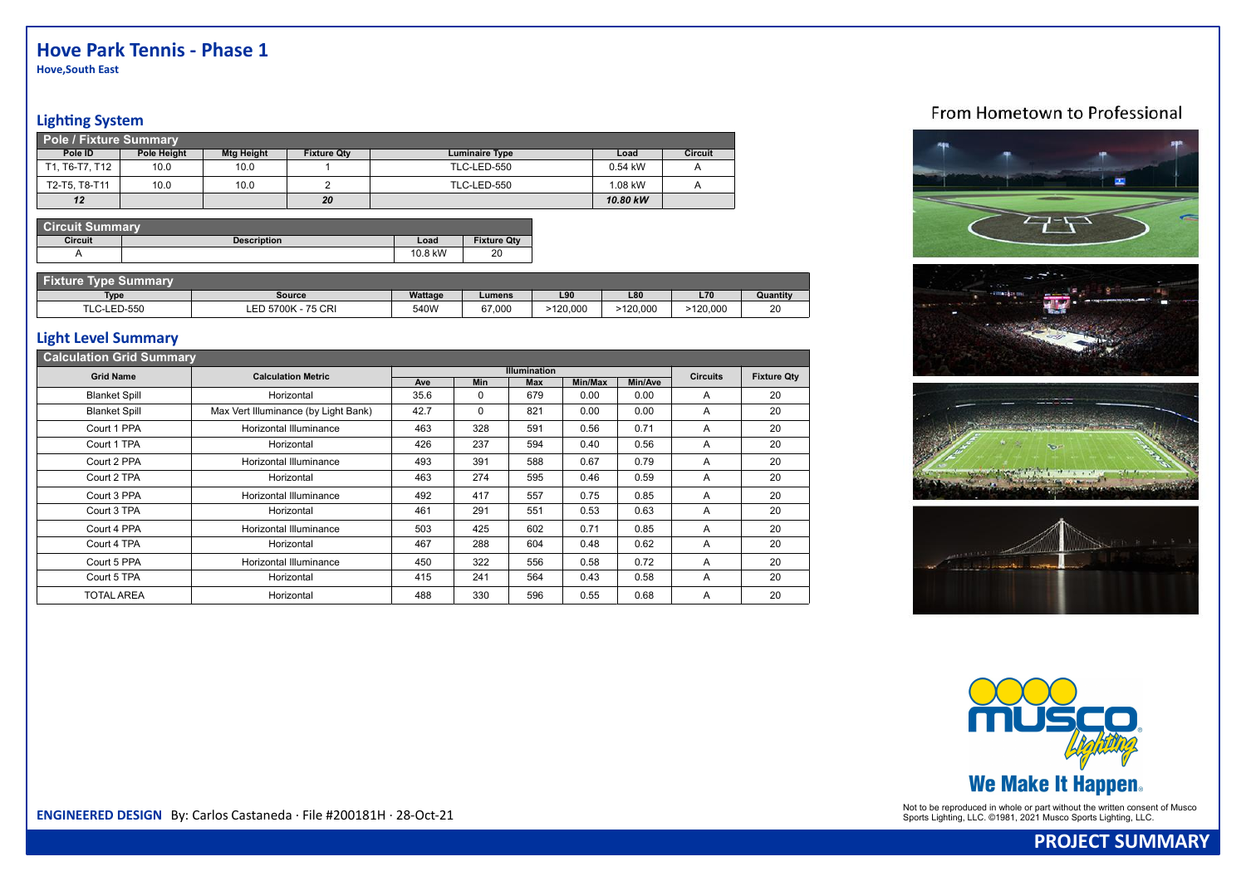**Hove,South East**

### **Lighting System**

| <b>Pole / Fixture Summary</b> |             |                   |                    |                       |           |                |
|-------------------------------|-------------|-------------------|--------------------|-----------------------|-----------|----------------|
| Pole ID                       | Pole Height | <b>Mtg Height</b> | <b>Fixture Qtv</b> | <b>Luminaire Type</b> | Load      | <b>Circuit</b> |
| T1. T6-T7. T12                | 10.0        | 10.0              |                    | TLC-LED-550           | $0.54$ kW |                |
| T2-T5, T8-T11                 | 10.0        | 10.0              |                    | <b>TLC-LED-550</b>    | 1.08 kW   |                |
| 12                            |             |                   | 20                 |                       | 10.80 kW  |                |

| <b>Circuit Summary</b> |                    |         |                    |
|------------------------|--------------------|---------|--------------------|
| <b>Circuit</b>         | <b>Description</b> | Load    | <b>Fixture Qty</b> |
|                        |                    | 10.8 kW | 20                 |

| Tyna S<br>๖ummar∖ |                    |         |        |          |         |            |          |
|-------------------|--------------------|---------|--------|----------|---------|------------|----------|
| <b>Type</b>       | Source             | Wattage | Lumens | L90      | L80     | <b>L70</b> | Quantity |
| LC-LED-550        | LED 5700K - 75 CRI | 540W    | 67,000 | -120.000 | 120.000 | >120,000   | 20       |

#### **Light Level Summary**

| <b>Calculation Grid Summary</b> |                                      |      |            |                     |         |         |                 |                    |
|---------------------------------|--------------------------------------|------|------------|---------------------|---------|---------|-----------------|--------------------|
| <b>Grid Name</b>                | <b>Calculation Metric</b>            |      |            | <b>Illumination</b> |         |         | <b>Circuits</b> | <b>Fixture Qty</b> |
|                                 |                                      | Ave  | <b>Min</b> | Max                 | Min/Max | Min/Ave |                 |                    |
| <b>Blanket Spill</b>            | Horizontal                           | 35.6 | 0          | 679                 | 0.00    | 0.00    | A               | 20                 |
| <b>Blanket Spill</b>            | Max Vert Illuminance (by Light Bank) | 42.7 | 0          | 821                 | 0.00    | 0.00    | A               | 20                 |
| Court 1 PPA                     | Horizontal Illuminance               | 463  | 328        | 591                 | 0.56    | 0.71    | A               | 20                 |
| Court 1 TPA                     | Horizontal                           | 426  | 237        | 594                 | 0.40    | 0.56    | A               | 20                 |
| Court 2 PPA                     | Horizontal Illuminance               | 493  | 391        | 588                 | 0.67    | 0.79    | A               | 20                 |
| Court 2 TPA                     | Horizontal                           | 463  | 274        | 595                 | 0.46    | 0.59    | A               | 20                 |
| Court 3 PPA                     | Horizontal Illuminance               | 492  | 417        | 557                 | 0.75    | 0.85    | A               | 20                 |
| Court 3 TPA                     | Horizontal                           | 461  | 291        | 551                 | 0.53    | 0.63    | A               | 20                 |
| Court 4 PPA                     | Horizontal Illuminance               | 503  | 425        | 602                 | 0.71    | 0.85    | A               | 20                 |
| Court 4 TPA                     | Horizontal                           | 467  | 288        | 604                 | 0.48    | 0.62    | A               | 20                 |
| Court 5 PPA                     | Horizontal Illuminance               | 450  | 322        | 556                 | 0.58    | 0.72    | A               | 20                 |
| Court 5 TPA                     | Horizontal                           | 415  | 241        | 564                 | 0.43    | 0.58    | A               | 20                 |
| <b>TOTAL AREA</b>               | Horizontal                           | 488  | 330        | 596                 | 0.55    | 0.68    | A               | 20                 |

## From Hometown to Professional











Not to be reproduced in whole or part without the written consent of Musco **ENGINEERED DESIGN** By: Carlos Castaneda · File #200181H · 28-Oct-21 Sports Lighting, LLC. ©1981, 2021 Musco Sports Lighting, LLC. ©1981, 2021 Musc

# **PROJECT SUMMARY**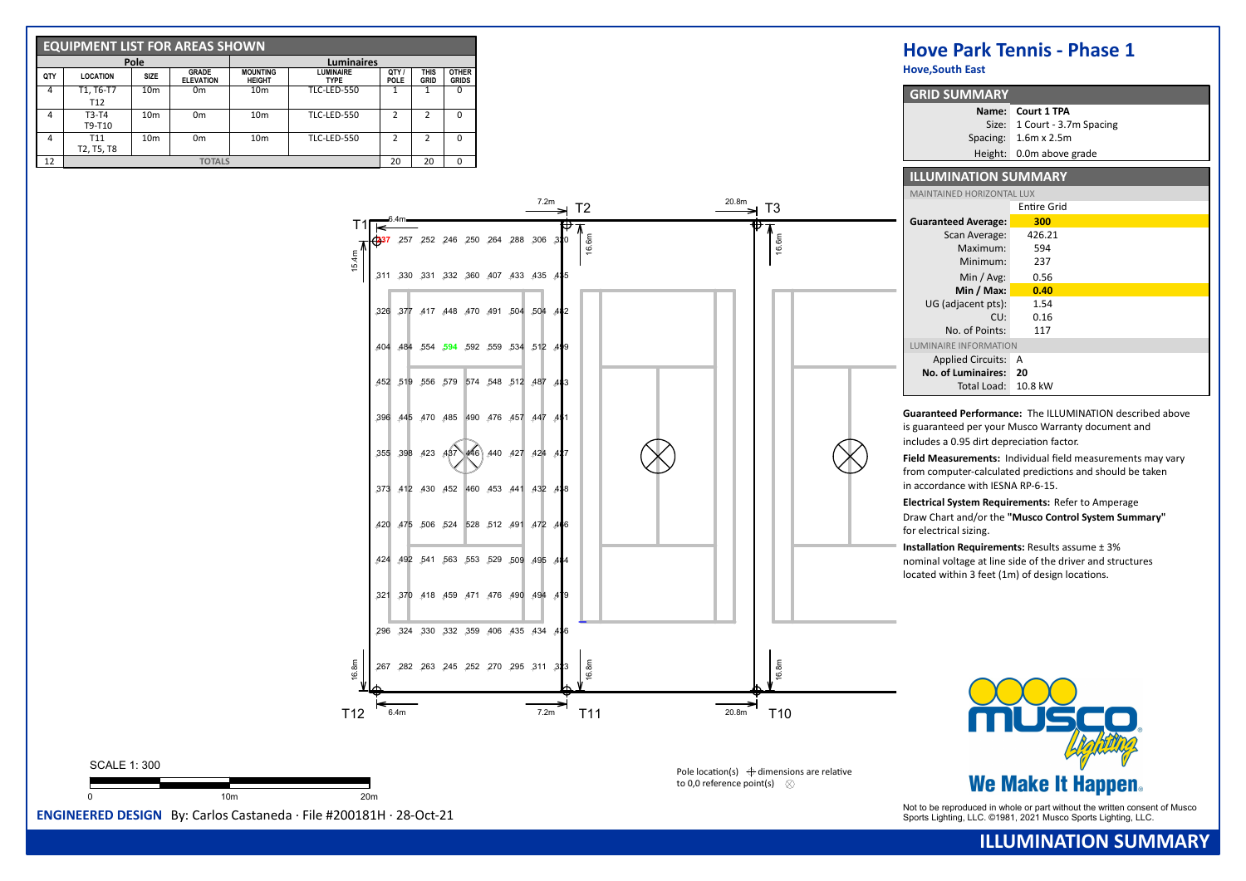|     | <b>EQUIPMENT LIST FOR AREAS SHOWN</b> |                 |                                  |                                  |                                 |                    |                     |                              |
|-----|---------------------------------------|-----------------|----------------------------------|----------------------------------|---------------------------------|--------------------|---------------------|------------------------------|
|     |                                       | Pole            |                                  |                                  | <b>Luminaires</b>               |                    |                     |                              |
| QTY | <b>LOCATION</b>                       | <b>SIZE</b>     | <b>GRADE</b><br><b>ELEVATION</b> | <b>MOUNTING</b><br><b>HEIGHT</b> | <b>LUMINAIRE</b><br><b>TYPE</b> | QTY<br><b>POLE</b> | <b>THIS</b><br>GRID | <b>OTHER</b><br><b>GRIDS</b> |
| 4   | T1, T6-T7                             | 10 <sub>m</sub> | 0 <sub>m</sub>                   | 10 <sub>m</sub>                  | <b>TLC-LED-550</b>              |                    |                     | $\Omega$                     |
|     | T <sub>12</sub>                       |                 |                                  |                                  |                                 |                    |                     |                              |
| 4   | $T3-T4$                               | 10 <sub>m</sub> | 0 <sub>m</sub>                   | 10 <sub>m</sub>                  | TLC-LED-550                     | っ                  | 2                   | $\Omega$                     |
|     | T9-T10                                |                 |                                  |                                  |                                 |                    |                     |                              |
| 4   | T <sub>11</sub>                       | 10 <sub>m</sub> | 0 <sub>m</sub>                   | 10 <sub>m</sub>                  | <b>TLC-LED-550</b>              | 2                  | 2                   | $\Omega$                     |
|     | T2, T5, T8                            |                 |                                  |                                  |                                 |                    |                     |                              |
| 12  |                                       |                 | <b>TOTALS</b>                    |                                  |                                 | 20                 | 20                  | $\Omega$                     |

|       |                          | <b>Hove, South East</b>                                                                                        |                                                                                                                                                                                                                                                                                                                                                           |
|-------|--------------------------|----------------------------------------------------------------------------------------------------------------|-----------------------------------------------------------------------------------------------------------------------------------------------------------------------------------------------------------------------------------------------------------------------------------------------------------------------------------------------------------|
|       |                          | <b>GRID SUMMARY</b>                                                                                            |                                                                                                                                                                                                                                                                                                                                                           |
|       |                          |                                                                                                                | Name: Court 1 TPA                                                                                                                                                                                                                                                                                                                                         |
|       |                          |                                                                                                                | Size: 1 Court - 3.7m Spacing                                                                                                                                                                                                                                                                                                                              |
|       |                          |                                                                                                                | Spacing: 1.6m x 2.5m                                                                                                                                                                                                                                                                                                                                      |
|       |                          |                                                                                                                | Height: 0.0m above grade                                                                                                                                                                                                                                                                                                                                  |
|       |                          | <b>ILLUMINATION SUMMARY</b>                                                                                    |                                                                                                                                                                                                                                                                                                                                                           |
|       |                          | MAINTAINED HORIZONTAL LUX                                                                                      |                                                                                                                                                                                                                                                                                                                                                           |
| 20.8m | T3                       |                                                                                                                | <b>Entire Grid</b>                                                                                                                                                                                                                                                                                                                                        |
|       |                          | <b>Guaranteed Average:</b>                                                                                     | 300                                                                                                                                                                                                                                                                                                                                                       |
|       |                          | Scan Average:                                                                                                  | 426.21                                                                                                                                                                                                                                                                                                                                                    |
|       | 16.6m                    | Maximum:                                                                                                       | 594                                                                                                                                                                                                                                                                                                                                                       |
|       |                          | Minimum:                                                                                                       | 237                                                                                                                                                                                                                                                                                                                                                       |
|       |                          | Min / $Avg:$                                                                                                   | 0.56                                                                                                                                                                                                                                                                                                                                                      |
|       |                          | Min / Max:                                                                                                     | 0.40                                                                                                                                                                                                                                                                                                                                                      |
|       |                          | UG (adjacent pts):                                                                                             | 1.54                                                                                                                                                                                                                                                                                                                                                      |
|       |                          | CU:                                                                                                            | 0.16                                                                                                                                                                                                                                                                                                                                                      |
|       |                          | No. of Points:                                                                                                 | 117                                                                                                                                                                                                                                                                                                                                                       |
|       |                          | LUMINAIRE INFORMATION                                                                                          |                                                                                                                                                                                                                                                                                                                                                           |
|       |                          | Applied Circuits: A                                                                                            |                                                                                                                                                                                                                                                                                                                                                           |
|       |                          | No. of Luminaires: 20                                                                                          |                                                                                                                                                                                                                                                                                                                                                           |
|       |                          | Total Load: 10.8 kW                                                                                            |                                                                                                                                                                                                                                                                                                                                                           |
|       |                          | in accordance with IESNA RP-6-15.<br>for electrical sizing.<br>located within 3 feet (1m) of design locations. | Field Measurements: Individual field measurements may vary<br>from computer-calculated predictions and should be taken<br>Electrical System Requirements: Refer to Amperage<br>Draw Chart and/or the "Musco Control System Summary"<br><b>Installation Requirements: Results assume ± 3%</b><br>nominal voltage at line side of the driver and structures |
| 20.8m | 16.8m<br>T <sub>10</sub> |                                                                                                                |                                                                                                                                                                                                                                                                                                                                                           |

SCALE 1: 300 0 10m 20m

267 282 263 245 252 270 295 311

16.8m

T12

6.4m

296 324 330 332 359 406 435 434 436

323

7.2m

484

482

435

320

 $7.2m$ 

T2

321 370 418 459 471 476 490 494 479

420 475 506 524 528 512 491 472 466

373 412 430 452 460 453 441 432 438

355 398 423 437 446 440 427 424 427

396 445 470 485 490 476 457 447 451

452 519 556 579 574 548 512 487 483

404 484 554 **594** 592 559 534 512 499

326 377 417 448 470 491 504 504

311 330 331 332 360 407 433 435

257 252 246 250 264 288 306

**237**

6.4m

15.4m

T1

424 492 541 563 553 529 509 495

Pole location(s)  $\bigoplus$  dimensions are relative to 0,0 reference point(s)  $\otimes$ 

Not to be reproduced in whole or part without the written consent of Musco **ENGINEERED DESIGN** By: Carlos Castaneda · File #200181H · 28-Oct-21 Sports Lighting, LLC. ©1981, 2021 Musco Sports Lighting, LLC. ©1981, 2021 Musc

**We Make It Happen.**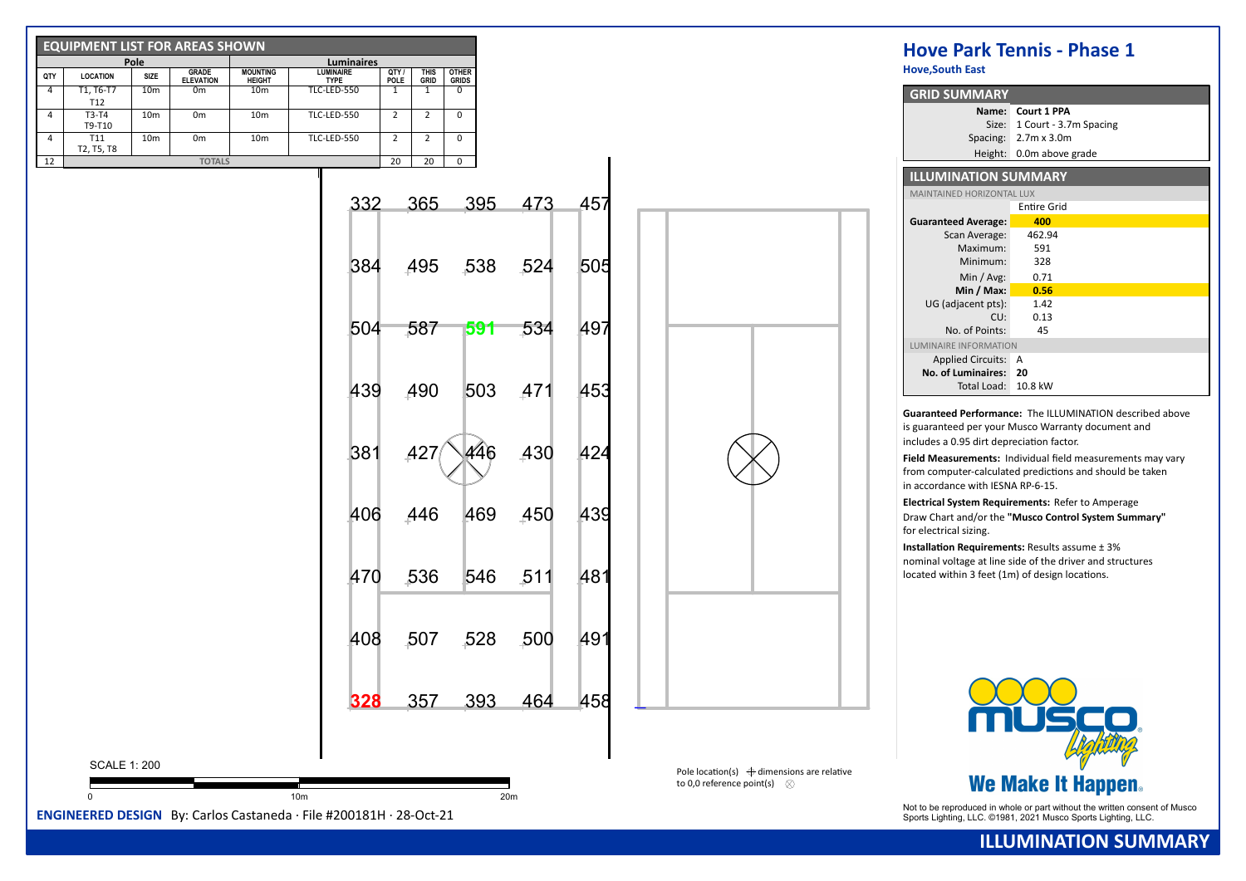| <b>EQUIPMENT LIST FOR AREAS SHOWN</b>                              |                                                   |                                  |                                |                                                    |                             |      |     |                                                                                             | <b>Hove Park Tennis - Phase 1</b>                                              |
|--------------------------------------------------------------------|---------------------------------------------------|----------------------------------|--------------------------------|----------------------------------------------------|-----------------------------|------|-----|---------------------------------------------------------------------------------------------|--------------------------------------------------------------------------------|
| Pole                                                               | GRADE                                             | <b>MOUNTING</b>                  | Luminaires<br><b>LUMINAIRE</b> |                                                    | <b>OTHER</b>                |      |     |                                                                                             | <b>Hove, South East</b>                                                        |
| QTY<br><b>LOCATION</b><br>$\overline{4}$<br>T1, T6-T7              | SIZE<br><b>ELEVATION</b><br>10 <sub>m</sub><br>0m | <b>HEIGHT</b><br>10 <sub>m</sub> | <b>TYPE</b><br>TLC-LED-550     | QTY /<br>POLE<br>this<br>Grid<br>$\mathbf{1}$<br>1 | <b>GRIDS</b><br>$\mathbf 0$ |      |     |                                                                                             |                                                                                |
| T12                                                                |                                                   |                                  |                                |                                                    |                             |      |     |                                                                                             | <b>GRID SUMMARY</b><br>Name: Court 1 PPA                                       |
| $\overline{4}$<br>T3-T4<br>T9-T10                                  | 10 <sub>m</sub><br>0 <sub>m</sub>                 | 10 <sub>m</sub>                  | TLC-LED-550                    | 2<br>$\overline{2}$                                | $\pmb{0}$                   |      |     |                                                                                             | Size: 1 Court - 3.7m Spacing                                                   |
| $\overline{4}$<br>T11                                              | 0 <sub>m</sub><br>10 <sub>m</sub>                 | 10 <sub>m</sub>                  | TLC-LED-550                    | $2^{\circ}$<br>$\overline{2}$                      | $\mathbf 0$                 |      |     |                                                                                             | Spacing: 2.7m x 3.0m                                                           |
| T2, T5, T8<br>$\overline{12}$                                      | <b>TOTALS</b>                                     |                                  |                                | 20<br>20                                           | $\overline{0}$              |      |     |                                                                                             | Height: 0.0m above grade                                                       |
|                                                                    |                                                   |                                  |                                |                                                    |                             |      |     |                                                                                             | <b>ILLUMINATION SUMMARY</b>                                                    |
|                                                                    |                                                   |                                  |                                |                                                    |                             |      |     |                                                                                             | MAINTAINED HORIZONTAL LUX                                                      |
|                                                                    |                                                   |                                  | 332                            | 365                                                | 395                         | 473  | 457 |                                                                                             | <b>Entire Grid</b>                                                             |
|                                                                    |                                                   |                                  |                                |                                                    |                             |      |     |                                                                                             | <b>Guaranteed Average:</b><br>400                                              |
|                                                                    |                                                   |                                  |                                |                                                    |                             |      |     |                                                                                             | 462.94<br>Scan Average:<br>591<br>Maximum:                                     |
|                                                                    |                                                   |                                  |                                |                                                    |                             |      |     |                                                                                             | 328<br>Minimum:                                                                |
|                                                                    |                                                   |                                  | 384                            | 495                                                | 538                         | 524  | 505 |                                                                                             | Min / Avg:<br>0.71                                                             |
|                                                                    |                                                   |                                  |                                |                                                    |                             |      |     |                                                                                             | Min / Max:<br>0.56                                                             |
|                                                                    |                                                   |                                  |                                |                                                    |                             |      |     |                                                                                             | UG (adjacent pts):<br>1.42                                                     |
|                                                                    |                                                   |                                  | 504                            | 587                                                | 591                         | 534  | 497 |                                                                                             | 0.13<br>CU:<br>No. of Points:<br>45                                            |
|                                                                    |                                                   |                                  |                                |                                                    |                             |      |     |                                                                                             | LUMINAIRE INFORMATION                                                          |
|                                                                    |                                                   |                                  |                                |                                                    |                             |      |     |                                                                                             | Applied Circuits: A                                                            |
|                                                                    |                                                   |                                  |                                |                                                    |                             |      |     |                                                                                             | No. of Luminaires: 20                                                          |
|                                                                    |                                                   |                                  | 439                            | 490                                                | 503                         | 471  | 453 |                                                                                             | Total Load: 10.8 kW                                                            |
|                                                                    |                                                   |                                  |                                |                                                    |                             |      |     |                                                                                             | Guaranteed Performance: The ILLUMINATION described above                       |
|                                                                    |                                                   |                                  |                                |                                                    |                             |      |     |                                                                                             | is guaranteed per your Musco Warranty document and                             |
|                                                                    |                                                   |                                  |                                |                                                    |                             |      |     |                                                                                             | includes a 0.95 dirt depreciation factor.                                      |
|                                                                    |                                                   |                                  | 381                            | 427                                                | 446                         | 430  | 424 |                                                                                             | Field Measurements: Individual field measurements may vary                     |
|                                                                    |                                                   |                                  |                                |                                                    |                             |      |     |                                                                                             | from computer-calculated predictions and should be taken                       |
|                                                                    |                                                   |                                  |                                |                                                    |                             |      |     |                                                                                             | in accordance with IESNA RP-6-15.                                              |
|                                                                    |                                                   |                                  | 406                            | 446                                                | 469                         | 450  | 439 |                                                                                             | Electrical System Requirements: Refer to Amperage                              |
|                                                                    |                                                   |                                  |                                |                                                    |                             |      |     |                                                                                             | Draw Chart and/or the "Musco Control System Summary"<br>for electrical sizing. |
|                                                                    |                                                   |                                  |                                |                                                    |                             |      |     |                                                                                             | <b>Installation Requirements: Results assume ± 3%</b>                          |
|                                                                    |                                                   |                                  |                                |                                                    |                             |      |     |                                                                                             | nominal voltage at line side of the driver and structures                      |
|                                                                    |                                                   |                                  | 470                            | 536                                                | 546                         | 511  | 481 |                                                                                             | located within 3 feet (1m) of design locations.                                |
|                                                                    |                                                   |                                  |                                |                                                    |                             |      |     |                                                                                             |                                                                                |
|                                                                    |                                                   |                                  |                                |                                                    |                             |      |     |                                                                                             |                                                                                |
|                                                                    |                                                   |                                  |                                |                                                    |                             |      |     |                                                                                             |                                                                                |
|                                                                    |                                                   |                                  | 408                            | 507                                                | 528                         | ,500 | 491 |                                                                                             |                                                                                |
|                                                                    |                                                   |                                  |                                |                                                    |                             |      |     |                                                                                             |                                                                                |
|                                                                    |                                                   |                                  |                                |                                                    |                             |      |     |                                                                                             |                                                                                |
|                                                                    |                                                   |                                  |                                |                                                    |                             |      |     |                                                                                             |                                                                                |
|                                                                    |                                                   |                                  | 328                            | 357                                                | 393                         | 464  | 458 |                                                                                             |                                                                                |
|                                                                    |                                                   |                                  |                                |                                                    |                             |      |     |                                                                                             |                                                                                |
|                                                                    |                                                   |                                  |                                |                                                    |                             |      |     |                                                                                             |                                                                                |
| <b>SCALE 1: 200</b>                                                |                                                   |                                  |                                |                                                    |                             |      |     |                                                                                             |                                                                                |
|                                                                    |                                                   |                                  |                                |                                                    |                             |      |     | Pole location(s) $\bigoplus$ dimensions are relative<br>to 0,0 reference point(s) $\otimes$ | <b>We Make It Happen.</b>                                                      |
| $\Omega$                                                           |                                                   |                                  | 10m                            |                                                    |                             | 20m  |     |                                                                                             | Not to be reproduced in whole or part without the written consent of Musco     |
| ENGINEERED DESIGN By: Carlos Castaneda · File #200181H · 28-Oct-21 |                                                   |                                  |                                |                                                    |                             |      |     |                                                                                             | Sports Lighting, LLC. ©1981, 2021 Musco Sports Lighting, LLC.                  |

**ILLUMINATION SUMMARY**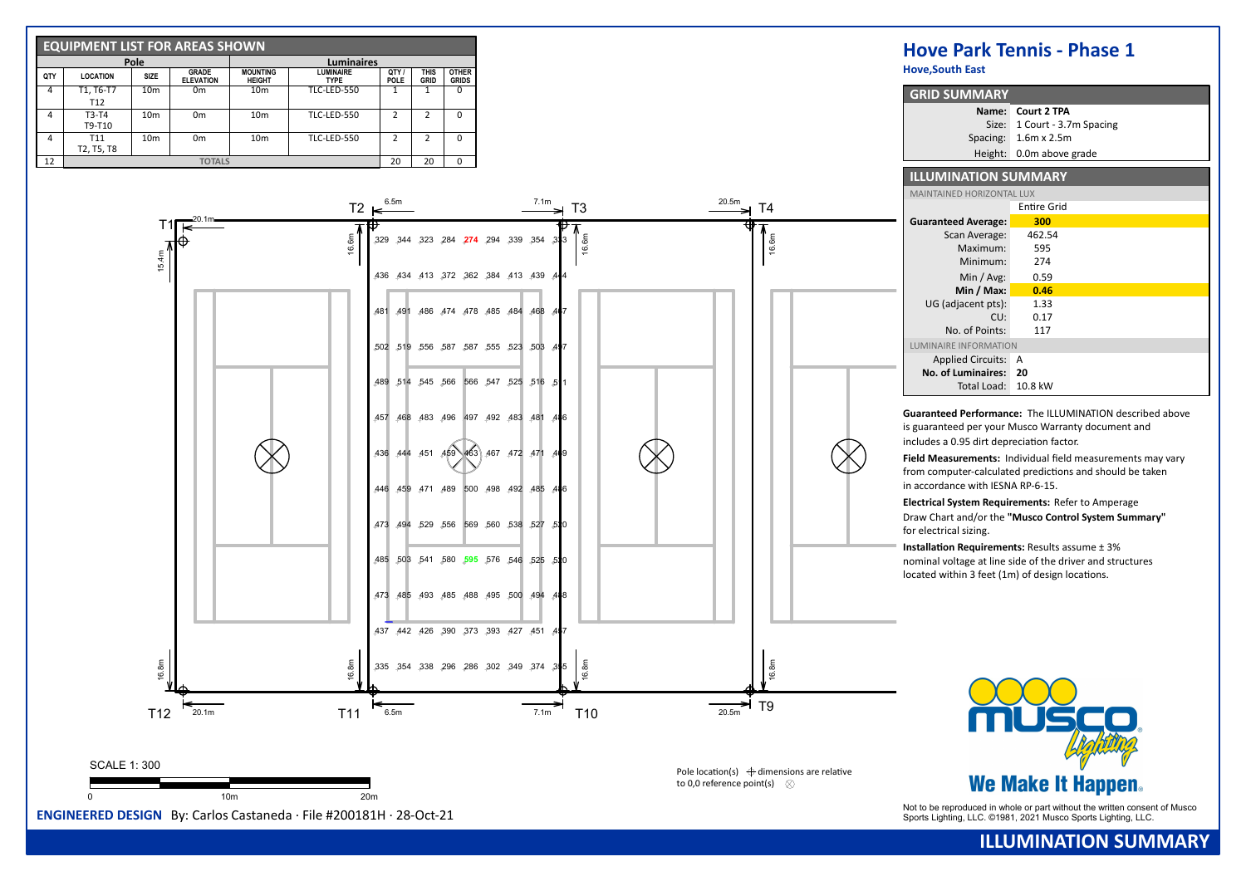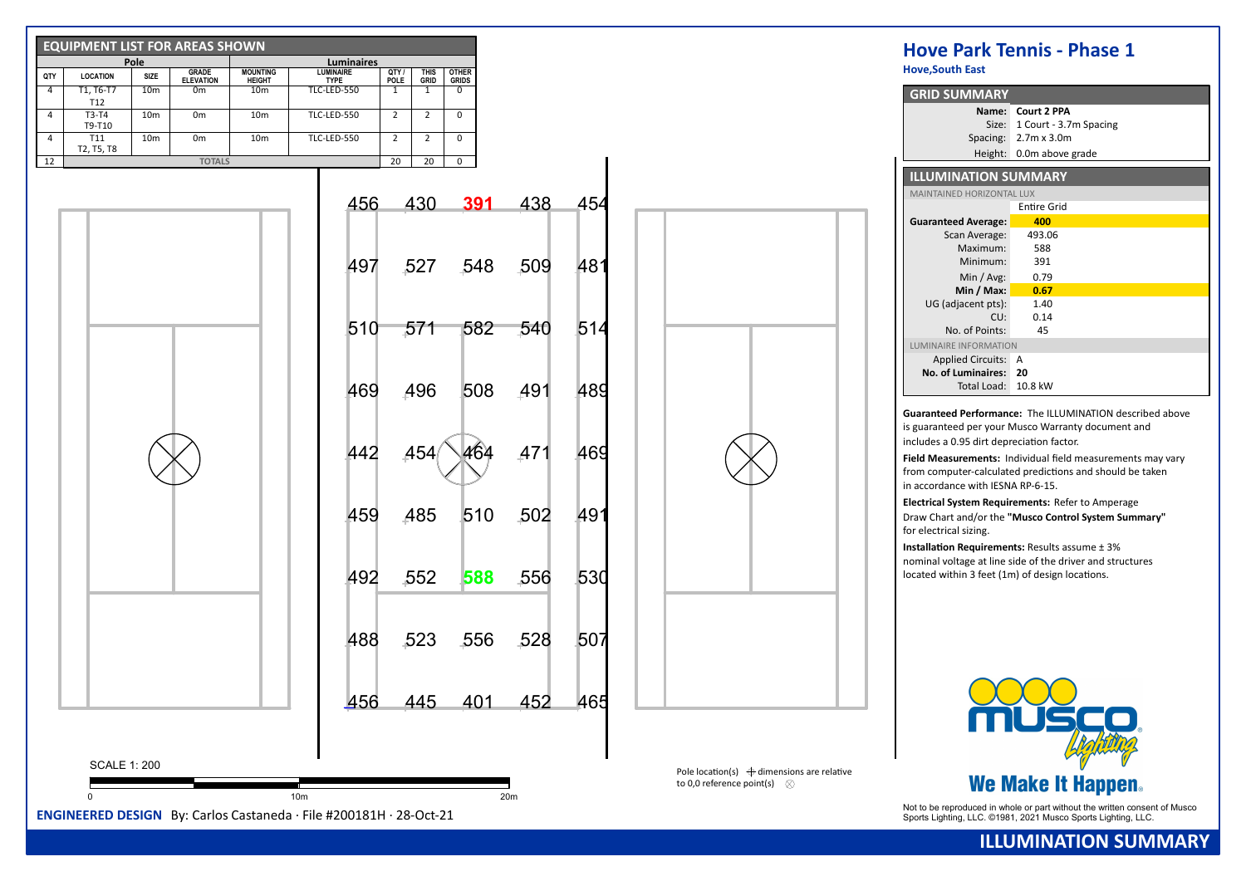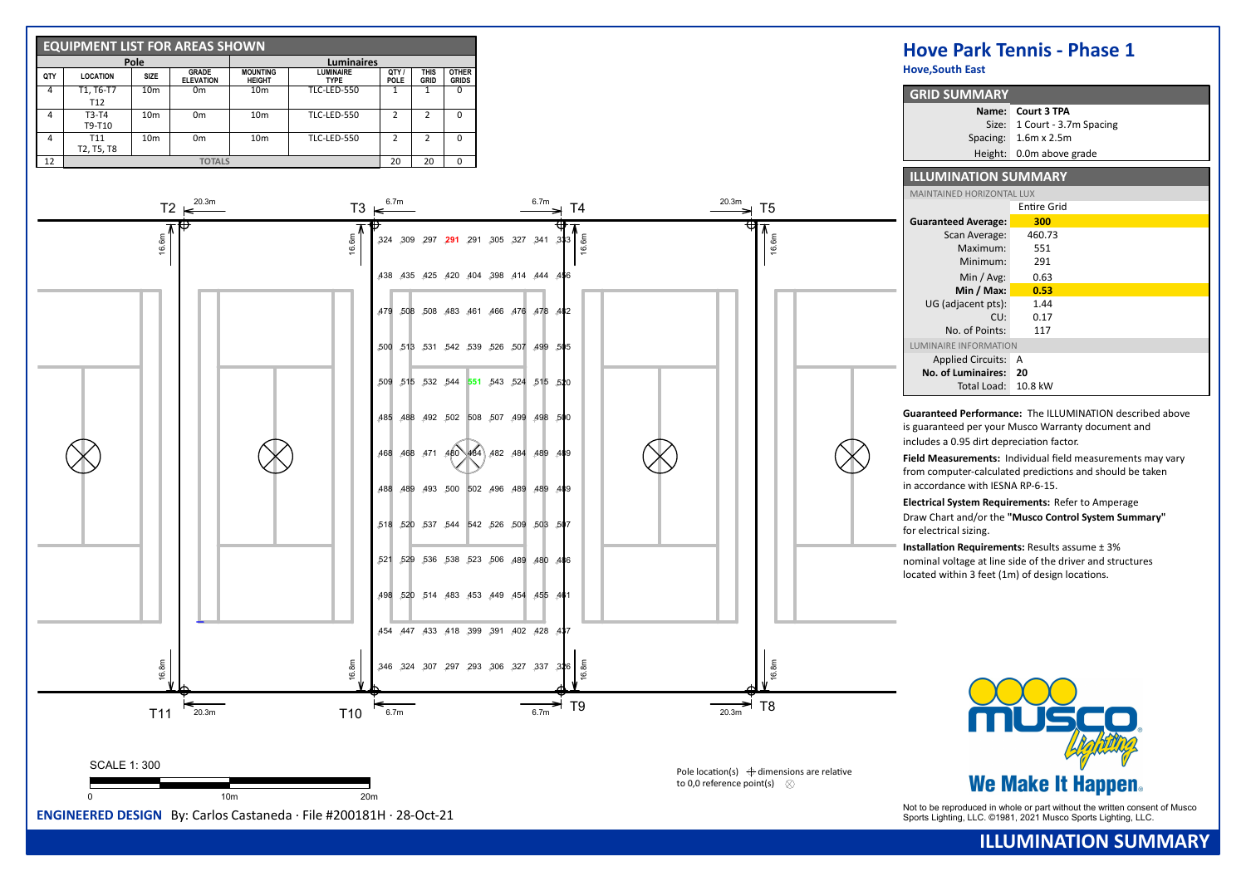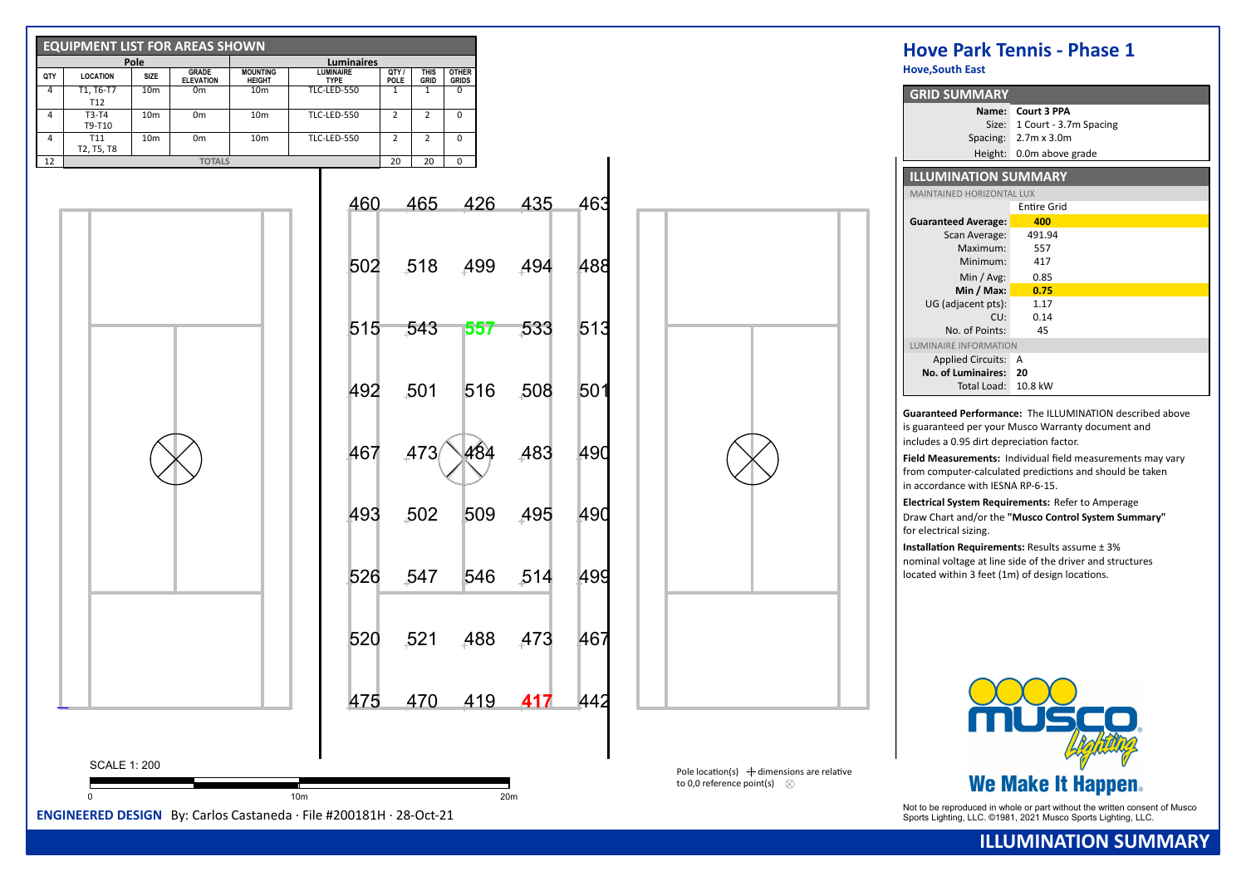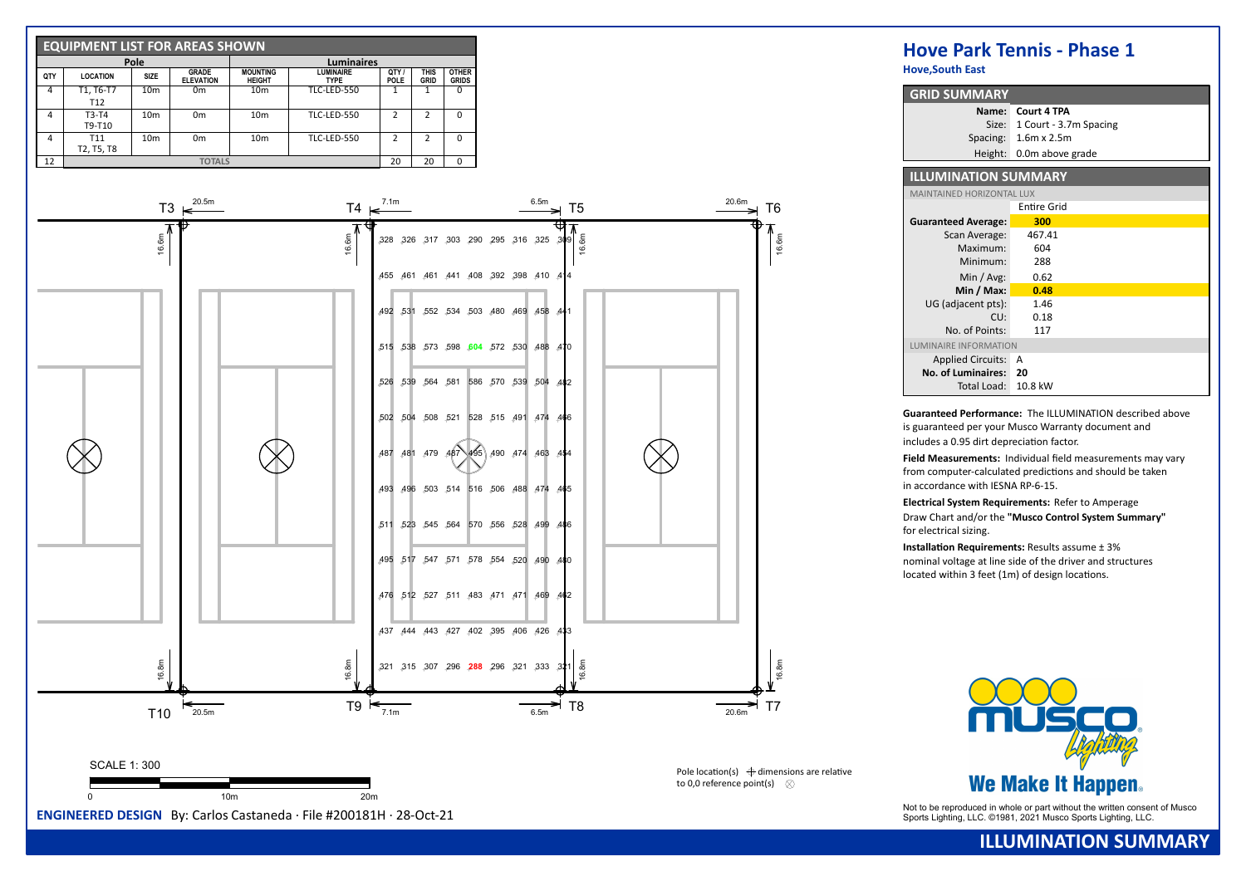

**Hove,South East**

| <b>GRID SUMMARY</b>              |                          |
|----------------------------------|--------------------------|
| Name:                            | Court 4 TPA              |
| Size:                            | 1 Court - 3.7m Spacing   |
|                                  | Spacing: 1.6m x 2.5m     |
|                                  | Height: 0.0m above grade |
|                                  |                          |
| <b>ILLUMINATION SUMMARY</b>      |                          |
| <b>MAINTAINED HORIZONTAL LUX</b> |                          |
|                                  | <b>Entire Grid</b>       |
| <b>Guaranteed Average:</b>       | 300                      |
| Scan Average:                    | 467.41                   |
| Maximum:                         | 604                      |
| Minimum:                         | 288                      |
|                                  |                          |

| Minimum:                  | 288     |  |
|---------------------------|---------|--|
| Min $/$ Avg:              | 0.62    |  |
| Min / Max:                | 0.48    |  |
| UG (adjacent pts):        | 1.46    |  |
| CU:                       | 0.18    |  |
| No. of Points:            | 117     |  |
| LUMINAIRE INFORMATION     |         |  |
| <b>Applied Circuits:</b>  | A       |  |
| <b>No. of Luminaires:</b> | 20      |  |
| Total Load:               | 10.8 kW |  |

**Guaranteed Performance:** The ILLUMINATION described above is guaranteed per your Musco Warranty document and includes a 0.95 dirt depreciation factor.

**Field Measurements: Individual field measurements may vary** from computer-calculated predictions and should be taken in accordance with IESNA RP-6-15.

**Electrical System Requirements:** Refer to Amperage Draw Chart and/or the **"Musco Control System Summary"** for electrical sizing.

**Installation Requirements:** Results assume  $\pm$  3% nominal voltage at line side of the driver and structures located within  $3$  feet (1m) of design locations.



## **ILLUMINATION SUMMARY**

Not to be reproduced in whole or part without the written consent of Musco **ENGINEERED DESIGN** By: Carlos Castaneda · File #200181H · 28-Oct-21 Sports Lighting, LLC. ©1981, 2021 Musco Sports Lighting, LLC. ©1981, 2021 Musc

to 0.0 reference point(s)  $\otimes$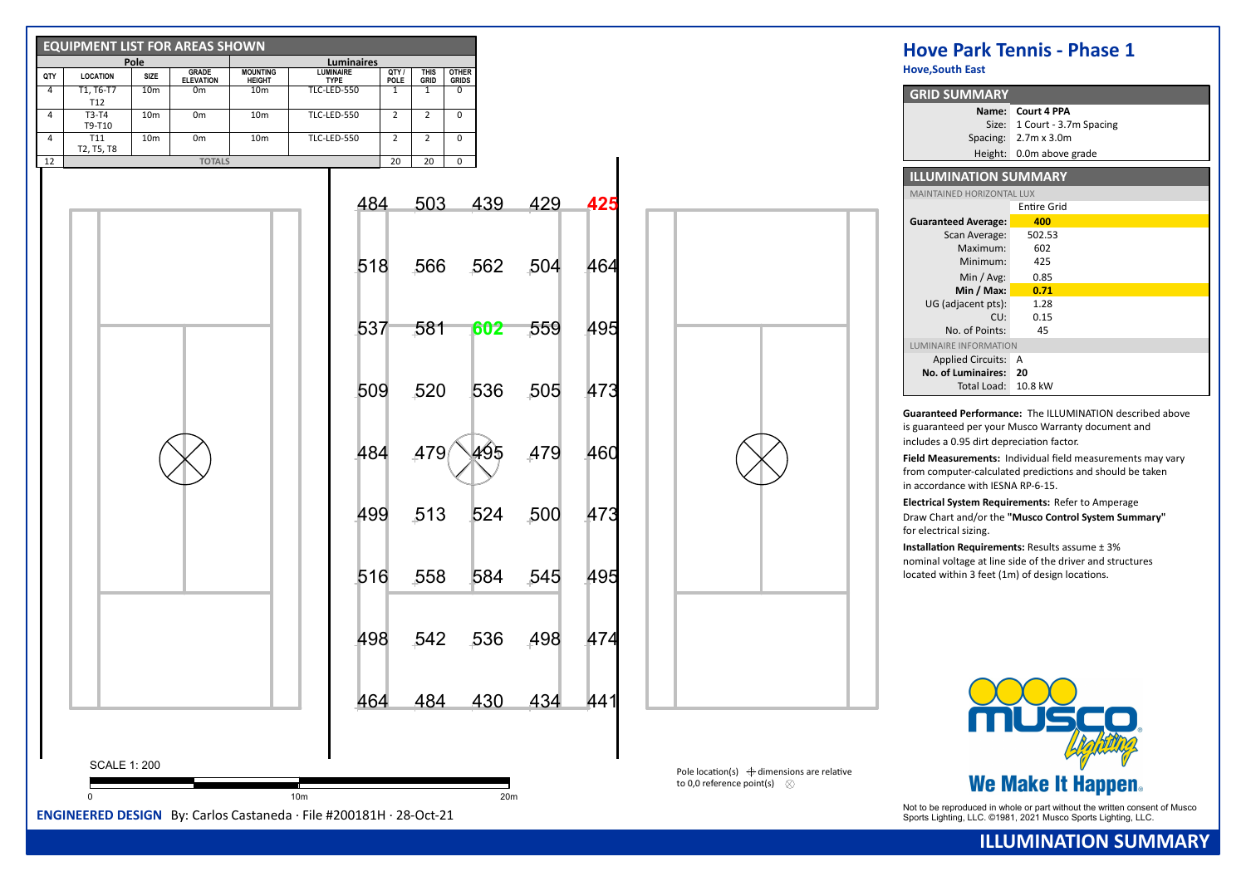| <b>EQUIPMENT LIST FOR AREAS SHOWN</b>                                                                        |                                                                                            |                                                      | <b>Hove Park Tennis - Phase 1</b>                                                                                                           |
|--------------------------------------------------------------------------------------------------------------|--------------------------------------------------------------------------------------------|------------------------------------------------------|---------------------------------------------------------------------------------------------------------------------------------------------|
| Pole<br><b>GRADE</b><br><b>MOUNTING</b><br>QTY<br>SIZE<br><b>LOCATION</b>                                    | Luminaires<br><b>LUMINAIRE</b><br>QTY/I<br><b>OTHER</b><br><b>THIS</b>                     |                                                      | <b>Hove, South East</b>                                                                                                                     |
| <b>ELEVATION</b><br><b>HEIGHT</b><br>T1, T6-T7<br>10 <sub>m</sub><br>$\overline{4}$<br>0 <sub>m</sub><br>10m | POLE<br>GRID<br><b>GRIDS</b><br><b>TYPE</b><br><b>TLC-LED-550</b><br>1<br>1<br>$\mathbf 0$ |                                                      | <b>GRID SUMMARY</b>                                                                                                                         |
| T12<br>$\overline{4}$<br>T3-T4<br>10 <sub>m</sub><br>0 <sub>m</sub><br>10 <sub>m</sub>                       | TLC-LED-550<br>$\mathbf 0$<br>$\overline{2}$<br>$\overline{2}$                             |                                                      | Name: Court 4 PPA                                                                                                                           |
| T9-T10                                                                                                       |                                                                                            |                                                      | Size: 1 Court - 3.7m Spacing                                                                                                                |
| $\overline{4}$<br><b>T11</b><br>10 <sub>m</sub><br>0 <sub>m</sub><br>10 <sub>m</sub><br>T2, T5, T8           | $\overline{2}$<br>$\overline{2}$<br>$\mathbf 0$<br>TLC-LED-550                             |                                                      | Spacing: 2.7m x 3.0m                                                                                                                        |
| 12<br><b>TOTALS</b>                                                                                          | 20<br>20<br>$\overline{0}$                                                                 |                                                      | Height: 0.0m above grade                                                                                                                    |
|                                                                                                              |                                                                                            |                                                      | <b>ILLUMINATION SUMMARY</b>                                                                                                                 |
|                                                                                                              | 439<br>429<br>503<br>425<br>484                                                            |                                                      | MAINTAINED HORIZONTAL LUX                                                                                                                   |
|                                                                                                              |                                                                                            |                                                      | <b>Entire Grid</b><br>400<br><b>Guaranteed Average:</b>                                                                                     |
|                                                                                                              |                                                                                            |                                                      | 502.53<br>Scan Average:                                                                                                                     |
|                                                                                                              |                                                                                            |                                                      | 602<br>Maximum:                                                                                                                             |
|                                                                                                              | 562<br>518<br>504<br>464<br>.566                                                           |                                                      | 425<br>Minimum:                                                                                                                             |
|                                                                                                              |                                                                                            |                                                      | Min / Avg:<br>0.85<br>Min / Max:<br>0.71                                                                                                    |
|                                                                                                              |                                                                                            |                                                      | UG (adjacent pts):<br>1.28                                                                                                                  |
|                                                                                                              |                                                                                            |                                                      | 0.15<br>CU:                                                                                                                                 |
|                                                                                                              | 495<br>537<br>.581<br>559<br>602                                                           |                                                      | No. of Points:<br>45                                                                                                                        |
|                                                                                                              |                                                                                            |                                                      | LUMINAIRE INFORMATION<br>Applied Circuits: A                                                                                                |
|                                                                                                              |                                                                                            |                                                      | No. of Luminaires: 20                                                                                                                       |
|                                                                                                              | 520<br>536<br>505<br>473<br>509                                                            |                                                      | Total Load: 10.8 kW                                                                                                                         |
|                                                                                                              |                                                                                            |                                                      |                                                                                                                                             |
|                                                                                                              |                                                                                            |                                                      | Guaranteed Performance: The ILLUMINATION described above<br>is guaranteed per your Musco Warranty document and                              |
|                                                                                                              |                                                                                            |                                                      | includes a 0.95 dirt depreciation factor.                                                                                                   |
|                                                                                                              | 479<br>484<br>A79<br>460<br>495                                                            |                                                      | Field Measurements: Individual field measurements may vary                                                                                  |
|                                                                                                              |                                                                                            |                                                      | from computer-calculated predictions and should be taken                                                                                    |
|                                                                                                              |                                                                                            |                                                      | in accordance with IESNA RP-6-15.                                                                                                           |
|                                                                                                              | 500<br>513<br>524<br>473<br>499                                                            |                                                      | Electrical System Requirements: Refer to Amperage                                                                                           |
|                                                                                                              |                                                                                            |                                                      | Draw Chart and/or the "Musco Control System Summary"<br>for electrical sizing.                                                              |
|                                                                                                              |                                                                                            |                                                      | <b>Installation Requirements: Results assume ± 3%</b>                                                                                       |
|                                                                                                              |                                                                                            |                                                      | nominal voltage at line side of the driver and structures                                                                                   |
|                                                                                                              | 516<br>558<br>584<br>.545<br>495                                                           |                                                      | located within 3 feet (1m) of design locations.                                                                                             |
|                                                                                                              |                                                                                            |                                                      |                                                                                                                                             |
|                                                                                                              |                                                                                            |                                                      |                                                                                                                                             |
|                                                                                                              | .542<br>474                                                                                |                                                      |                                                                                                                                             |
|                                                                                                              | 536<br>498<br>498                                                                          |                                                      |                                                                                                                                             |
|                                                                                                              |                                                                                            |                                                      |                                                                                                                                             |
|                                                                                                              |                                                                                            |                                                      |                                                                                                                                             |
|                                                                                                              | .<br>434<br>484<br>430<br>441<br>464.                                                      |                                                      |                                                                                                                                             |
|                                                                                                              |                                                                                            |                                                      |                                                                                                                                             |
|                                                                                                              |                                                                                            |                                                      |                                                                                                                                             |
|                                                                                                              |                                                                                            |                                                      |                                                                                                                                             |
| <b>SCALE 1: 200</b>                                                                                          |                                                                                            | Pole location(s) $\bigoplus$ dimensions are relative |                                                                                                                                             |
| 10 <sub>m</sub>                                                                                              | 20m                                                                                        | to 0,0 reference point(s) $\otimes$                  | <b>We Make It Happen.</b>                                                                                                                   |
| ENGINEERED DESIGN By: Carlos Castaneda · File #200181H · 28-Oct-21                                           |                                                                                            |                                                      | Not to be reproduced in whole or part without the written consent of Musco<br>Sports Lighting, LLC. ©1981, 2021 Musco Sports Lighting, LLC. |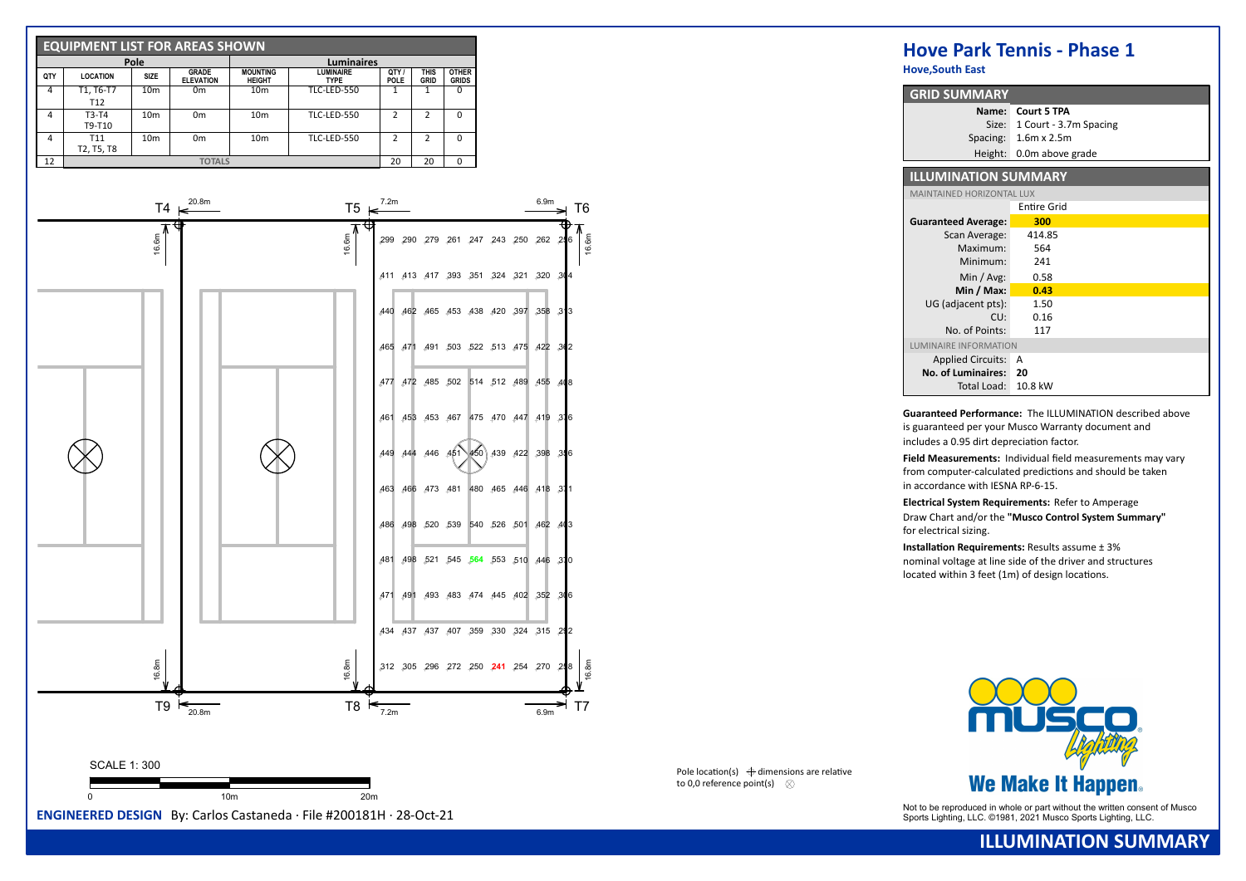

**Hove,South East**

| <b>GRID SUMMARY</b>              |                        |
|----------------------------------|------------------------|
| Name:                            | <b>Court 5 TPA</b>     |
| Size:                            | 1 Court - 3.7m Spacing |
| Spacing:                         | $1.6m \times 2.5m$     |
| Height:                          | 0.0m above grade       |
|                                  |                        |
| <b>ILLUMINATION SUMMARY</b>      |                        |
| <b>MAINTAINED HORIZONTAL LUX</b> |                        |
|                                  | Entire Grid            |
| <b>Guaranteed Average:</b>       | 300                    |
| Scan Average:                    | 414.85                 |
| Maximum:                         | 564                    |
| Minimum:                         | 241                    |
| Min / Avg:                       | 0.58                   |
| Min / Max:                       | 0.43                   |
| UG (adjacent pts):               | 1.50                   |
| CU:                              | 0.16                   |
| No. of Points:                   | 117                    |
| LUMINAIRE INFORMATION            |                        |
| <b>Applied Circuits:</b>         | А                      |
| <b>No. of Luminaires:</b>        | 20                     |
| Total Load:                      | 10.8 kW                |

**Guaranteed Performance:** The ILLUMINATION described above is guaranteed per your Musco Warranty document and includes a 0.95 dirt depreciation factor.

**Field Measurements: Individual field measurements may vary** from computer-calculated predictions and should be taken in accordance with IESNA RP-6-15.

**Electrical System Requirements:** Refer to Amperage Draw Chart and/or the **"Musco Control System Summary"** for electrical sizing.

**Installation Requirements:** Results assume  $\pm$  3% nominal voltage at line side of the driver and structures located within  $3$  feet (1m) of design locations.



Pole location(s)  $\bigoplus$  dimensions are relative to 0.0 reference point(s)  $\otimes$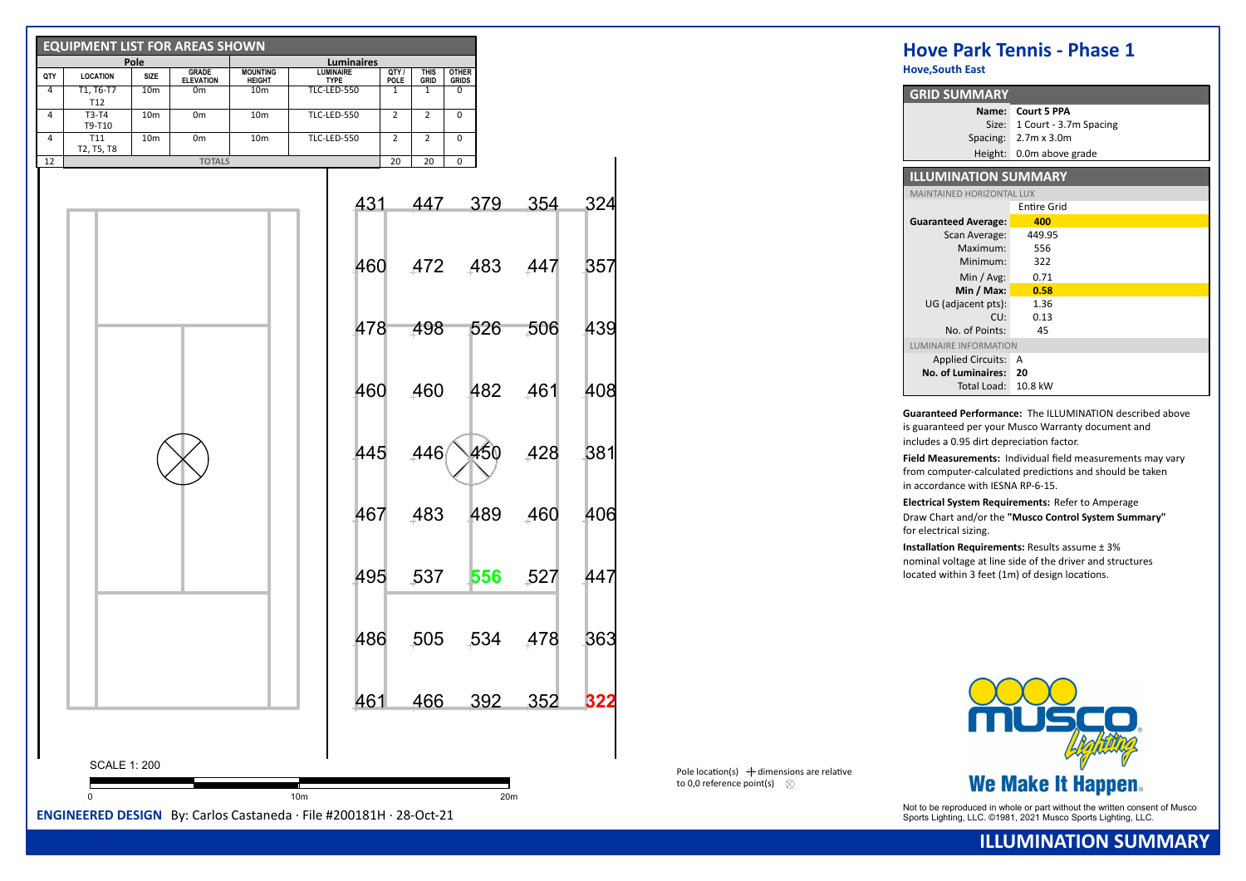|     | <b>EQUIPMENT LIST FOR AREAS SHOWN</b> | <u>Pole</u>     |                           |                                  | Luminaires                      |     |                      |                            |                              |      |            |     |
|-----|---------------------------------------|-----------------|---------------------------|----------------------------------|---------------------------------|-----|----------------------|----------------------------|------------------------------|------|------------|-----|
| QTY | <b>LOCATION</b>                       | SIZE            | GRADE<br><b>ELEVATION</b> | <b>MOUNTING</b><br><b>HEIGHT</b> | <b>LUMINAIRE</b><br><b>TYPE</b> |     | QTY /<br><b>POLE</b> | <b>THIS</b><br><b>GRID</b> | <b>OTHER</b><br><b>GRIDS</b> |      |            |     |
| 4   | T1, T6-T7<br>T12                      | 10 <sub>m</sub> | 0 <sub>m</sub>            | 10 <sub>m</sub>                  | TLC-LED-550                     |     | 1                    | 1                          | 0                            |      |            |     |
| 4   | T3-T4<br>T9-T10                       | 10 <sub>m</sub> | 0m                        | 10 <sub>m</sub>                  | TLC-LED-550                     |     | $\overline{2}$       | $\overline{2}$             | $\mathbf 0$                  |      |            |     |
| 4   | T11<br>T2, T5, T8                     | 10 <sub>m</sub> | 0 <sub>m</sub>            | 10 <sub>m</sub>                  | TLC-LED-550                     |     | $\overline{2}$       | $\overline{2}$             | 0                            |      |            |     |
| 12  |                                       |                 | <b>TOTALS</b>             |                                  |                                 |     | 20                   | 20                         | 0                            |      |            |     |
|     |                                       |                 |                           |                                  |                                 | 431 |                      | 447                        |                              | 379  | 354        | 324 |
|     |                                       |                 |                           |                                  |                                 | 460 |                      | 472                        |                              | .483 | 447        | 357 |
|     |                                       |                 |                           |                                  |                                 | 478 |                      | 498                        |                              | 526  | .506       | 439 |
|     |                                       |                 |                           |                                  |                                 | 460 |                      | .460                       |                              | 482  | 461        | 408 |
|     |                                       |                 |                           |                                  |                                 | 445 |                      | ,446                       |                              | 450  | 428        | 381 |
|     |                                       |                 |                           |                                  |                                 | 467 |                      | ,483                       |                              | 489  | 460        | 406 |
|     |                                       |                 |                           |                                  |                                 | 495 |                      | 537                        |                              | 556  | .527       | 447 |
|     |                                       |                 |                           |                                  |                                 | 486 |                      | 505                        |                              | ,534 | 478        | 363 |
|     |                                       |                 |                           |                                  |                                 | 461 |                      | 466                        |                              | 392  | <u>352</u> | 322 |
|     | <b>SCALE 1: 200</b>                   |                 |                           |                                  |                                 |     |                      |                            |                              |      |            |     |
|     | 0                                     |                 |                           |                                  | 10 <sub>m</sub>                 |     |                      |                            |                              | 20m  |            |     |

**Hove,South East**

| <b>GRID SUMMARY</b>              |                        |
|----------------------------------|------------------------|
| Name:                            | <b>Court 5 PPA</b>     |
| Size:                            | 1 Court - 3.7m Spacing |
| Spacing:                         | $2.7m \times 3.0m$     |
| Height:                          | 0.0m above grade       |
|                                  |                        |
| <b>ILLUMINATION SUMMARY</b>      |                        |
| <b>MAINTAINED HORIZONTAL LUX</b> |                        |
|                                  | Entire Grid            |
| <b>Guaranteed Average:</b>       | 400                    |
| Scan Average:                    | 449.95                 |
| Maximum:                         | 556                    |
| Minimum:                         | 322                    |
| Min / Avg:                       | 0.71                   |
| Min / Max:                       | 0.58                   |
| UG (adjacent pts):               | 1.36                   |
| CU:                              | 0.13                   |
| No. of Points:                   | 45                     |
| LUMINAIRE INFORMATION            |                        |
| <b>Applied Circuits:</b>         | А                      |
| No. of Luminaires:               | 20                     |
| Total Load:                      | 10.8 kW                |

**Guaranteed Performance:** The ILLUMINATION described above is guaranteed per your Musco Warranty document and includes a 0.95 dirt depreciation factor.

Field Measurements: Individual field measurements may vary from computer-calculated predictions and should be taken in accordance with IESNA RP-6-15.

**Electrical System Requirements:** Refer to Amperage Draw Chart and/or the **"Musco Control System Summary"** for electrical sizing.

**Installation Requirements:** Results assume  $\pm$  3% nominal voltage at line side of the driver and structures located within  $3$  feet (1m) of design locations.

Pole location(s)  $\bigoplus$  dimensions are relative to 0.0 reference point(s)  $\otimes$ 



Not to be reproduced in whole or part without the written consent of Musco Sports Lighting, LLC. ©1981, 2021 Musco Sports Lighting, LLC.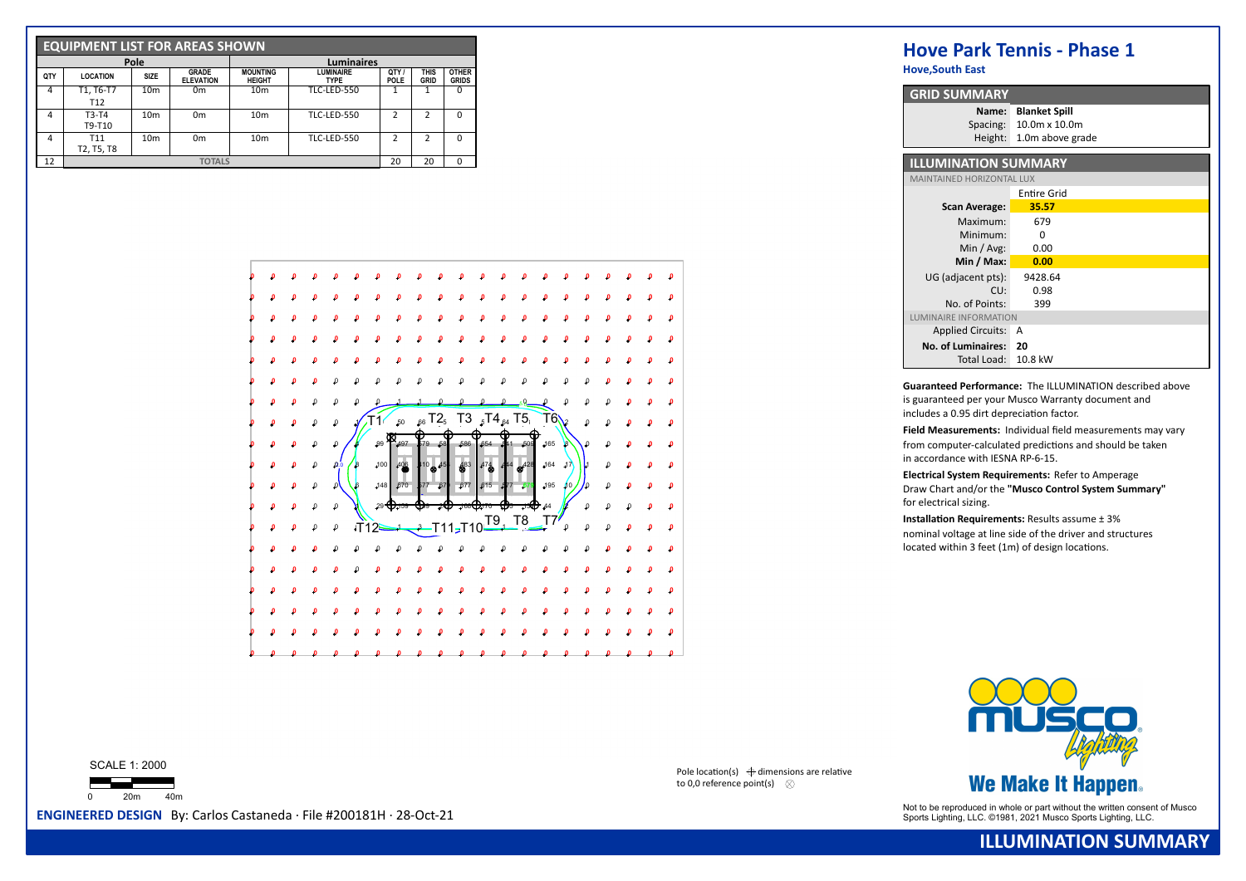|     | <b>EQUIPMENT LIST FOR AREAS SHOWN</b> |                 |                                  |                                  |                                 |                    |              |                              |  |  |  |  |  |
|-----|---------------------------------------|-----------------|----------------------------------|----------------------------------|---------------------------------|--------------------|--------------|------------------------------|--|--|--|--|--|
|     |                                       | Pole            |                                  | <b>Luminaires</b>                |                                 |                    |              |                              |  |  |  |  |  |
| QTY | <b>LOCATION</b>                       | <b>SIZE</b>     | <b>GRADE</b><br><b>ELEVATION</b> | <b>MOUNTING</b><br><b>HEIGHT</b> | <b>LUMINAIRE</b><br><b>TYPE</b> | OTY<br><b>POLE</b> | THIS<br>GRID | <b>OTHER</b><br><b>GRIDS</b> |  |  |  |  |  |
| 4   | T1, T6-T7<br>T <sub>12</sub>          | 10 <sub>m</sub> | 0 <sub>m</sub>                   | 10 <sub>m</sub>                  | <b>TLC-LED-550</b>              |                    |              | 0                            |  |  |  |  |  |
| 4   | $T3-T4$<br>T9-T10                     | 10 <sub>m</sub> | 0 <sub>m</sub>                   | 10 <sub>m</sub>                  | <b>TLC-LED-550</b>              | <b>C</b>           | 2            | $\Omega$                     |  |  |  |  |  |
| 4   | T <sub>11</sub><br>T2, T5, T8         | 10 <sub>m</sub> | 0 <sub>m</sub>                   | 10 <sub>m</sub>                  | <b>TLC-LED-550</b>              | <b>C</b>           | 2            | O                            |  |  |  |  |  |
| 12  |                                       |                 | 20                               | 20                               | O                               |                    |              |                              |  |  |  |  |  |



**Hove,South East**

| <b>GRID SUMMARY</b>          |                      |  |  |  |  |  |  |  |  |
|------------------------------|----------------------|--|--|--|--|--|--|--|--|
| Name:                        | <b>Blanket Spill</b> |  |  |  |  |  |  |  |  |
| Spacing:                     | 10.0m x 10.0m        |  |  |  |  |  |  |  |  |
| Height:                      | 1.0m above grade     |  |  |  |  |  |  |  |  |
| <b>ILLUMINATION SUMMARY</b>  |                      |  |  |  |  |  |  |  |  |
| MAINTAINED HORIZONTAL LUX    |                      |  |  |  |  |  |  |  |  |
|                              | Entire Grid          |  |  |  |  |  |  |  |  |
| <b>Scan Average:</b>         | 35.57                |  |  |  |  |  |  |  |  |
| Maximum:                     | 679                  |  |  |  |  |  |  |  |  |
| Minimum:                     | O                    |  |  |  |  |  |  |  |  |
| Min / Avg:                   | 0.00                 |  |  |  |  |  |  |  |  |
| Min / Max:                   | 0.00                 |  |  |  |  |  |  |  |  |
| UG (adiacent pts):           | 9428.64              |  |  |  |  |  |  |  |  |
| CU:                          | 0.98                 |  |  |  |  |  |  |  |  |
| No. of Points:               | 399                  |  |  |  |  |  |  |  |  |
| <b>LUMINAIRE INFORMATION</b> |                      |  |  |  |  |  |  |  |  |
| <b>Applied Circuits:</b>     | А                    |  |  |  |  |  |  |  |  |
| <b>No. of Luminaires:</b>    | 20                   |  |  |  |  |  |  |  |  |
| Total Load:                  | 10.8 kW              |  |  |  |  |  |  |  |  |

**Guaranteed Performance:** The ILLUMINATION described above is guaranteed per your Musco Warranty document and includes a 0.95 dirt depreciation factor.

Field Measurements: Individual field measurements may vary from computer-calculated predictions and should be taken in accordance with IESNA RP-6-15.

**Electrical System Requirements:** Refer to Amperage Draw Chart and/or the **"Musco Control System Summary"** for electrical sizing.

**Installation Requirements:** Results assume  $\pm$  3% nominal voltage at line side of the driver and structures  $located$  within 3 feet (1m) of design locations.



Not to be reproduced in whole or part without the written consent of Musco **ENGINEERED DESIGN** By: Carlos Castaneda · File #200181H · 28-Oct-21 Sports Lighting, LLC. ©1981, 2021 Musco Sports Lighting, LLC. ©1981, 2021 Musc

**ILLUMINATION SUMMARY**

SCALE 1: 2000



Pole location(s)  $\bigoplus$  dimensions are relative to 0.0 reference point(s)  $\infty$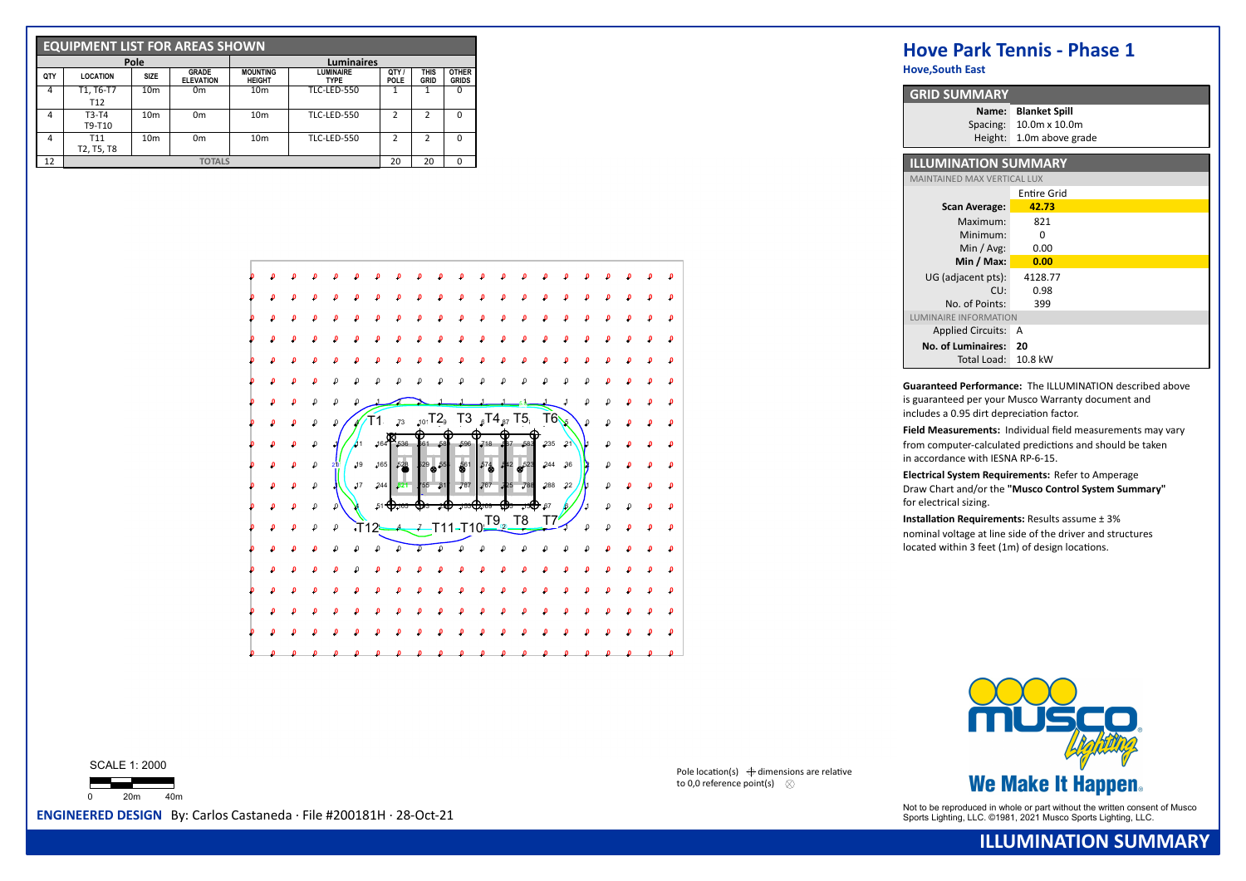|     | <b>EQUIPMENT LIST FOR AREAS SHOWN</b> |                 |                                  |                                  |                                 |                    |              |                              |  |  |  |  |  |
|-----|---------------------------------------|-----------------|----------------------------------|----------------------------------|---------------------------------|--------------------|--------------|------------------------------|--|--|--|--|--|
|     |                                       | Pole            |                                  | <b>Luminaires</b>                |                                 |                    |              |                              |  |  |  |  |  |
| QTY | <b>LOCATION</b>                       | <b>SIZE</b>     | <b>GRADE</b><br><b>ELEVATION</b> | <b>MOUNTING</b><br><b>HEIGHT</b> | <b>LUMINAIRE</b><br><b>TYPE</b> | OTY<br><b>POLE</b> | THIS<br>GRID | <b>OTHER</b><br><b>GRIDS</b> |  |  |  |  |  |
| 4   | T1, T6-T7<br>T <sub>12</sub>          | 10 <sub>m</sub> | 0 <sub>m</sub>                   | 10 <sub>m</sub>                  | <b>TLC-LED-550</b>              |                    |              | 0                            |  |  |  |  |  |
| 4   | $T3-T4$<br>T9-T10                     | 10 <sub>m</sub> | 0 <sub>m</sub>                   | 10 <sub>m</sub>                  | <b>TLC-LED-550</b>              | <b>C</b>           | 2            | $\Omega$                     |  |  |  |  |  |
| 4   | T <sub>11</sub><br>T2, T5, T8         | 10 <sub>m</sub> | 0 <sub>m</sub>                   | 10 <sub>m</sub>                  | <b>TLC-LED-550</b>              | <b>C</b>           | 2            | O                            |  |  |  |  |  |
| 12  |                                       |                 | 20                               | 20                               | O                               |                    |              |                              |  |  |  |  |  |



**Hove,South East**

| <b>GRID SUMMARY</b>                |                      |
|------------------------------------|----------------------|
| Name:                              | <b>Blanket Spill</b> |
| Spacing:                           | 10.0m x 10.0m        |
| Height:                            | 1.0m above grade     |
| <b>ILLUMINATION SUMMARY</b>        |                      |
|                                    |                      |
| <b>MAINTAINED MAX VERTICAL LUX</b> |                      |
|                                    | <b>Entire Grid</b>   |
| <b>Scan Average:</b>               | 42.73                |
| Maximum:                           | 821                  |
| Minimum:                           | O                    |
| Min / $Avg:$                       | 0.00                 |
| Min / Max:                         | 0.00                 |
| UG (adiacent pts):                 | 4128.77              |
| CU:                                | 0.98                 |
| No. of Points:                     | 399                  |
| LUMINAIRE INFORMATION              |                      |
| <b>Applied Circuits:</b>           | А                    |
| No. of Luminaires:                 | 20                   |
| Total Load:                        | 10.8 kW              |

**Guaranteed Performance:** The ILLUMINATION described above is guaranteed per your Musco Warranty document and includes a 0.95 dirt depreciation factor.

Field Measurements: Individual field measurements may vary from computer-calculated predictions and should be taken in accordance with IESNA RP-6-15.

**Electrical System Requirements:** Refer to Amperage Draw Chart and/or the **"Musco Control System Summary"** for electrical sizing.

**Installation Requirements:** Results assume  $\pm$  3% nominal voltage at line side of the driver and structures  $located$  within 3 feet (1m) of design locations.



Not to be reproduced in whole or part without the written consent of Musco **ENGINEERED DESIGN** By: Carlos Castaneda · File #200181H · 28-Oct-21 Sports Lighting, LLC. ©1981, 2021 Musco Sports Lighting, LLC. ©1981, 2021 Musc

SCALE 1: 2000



Pole location(s)  $\bigoplus$  dimensions are relative to 0.0 reference point(s)  $\infty$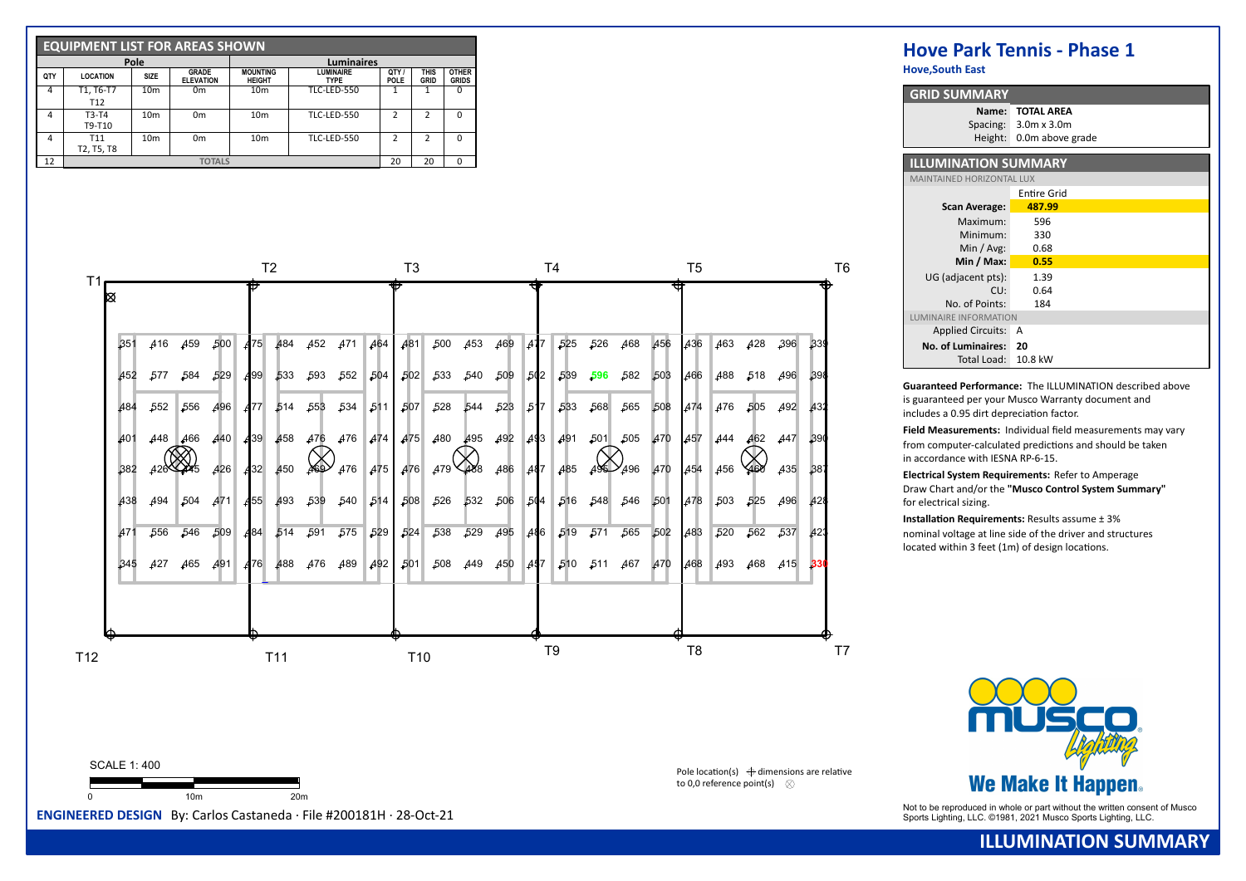|     | <b>EQUIPMENT LIST FOR AREAS SHOWN</b> |                 |                                  |                                  |                                 |                    |                     |                              |  |  |  |  |  |
|-----|---------------------------------------|-----------------|----------------------------------|----------------------------------|---------------------------------|--------------------|---------------------|------------------------------|--|--|--|--|--|
|     |                                       | Pole            |                                  | <b>Luminaires</b>                |                                 |                    |                     |                              |  |  |  |  |  |
| QTY | <b>LOCATION</b>                       | <b>SIZE</b>     | <b>GRADE</b><br><b>ELEVATION</b> | <b>MOUNTING</b><br><b>HEIGHT</b> | <b>LUMINAIRE</b><br><b>TYPE</b> | OTY<br><b>POLE</b> | <b>THIS</b><br>GRID | <b>OTHER</b><br><b>GRIDS</b> |  |  |  |  |  |
| 4   | T1, T6-T7                             | 10 <sub>m</sub> | 0 <sub>m</sub>                   | 10 <sub>m</sub>                  | <b>TLC-LED-550</b>              |                    |                     | $\Omega$                     |  |  |  |  |  |
|     | T <sub>12</sub>                       |                 |                                  |                                  |                                 |                    |                     |                              |  |  |  |  |  |
| 4   | $T3-T4$<br>T9-T10                     | 10 <sub>m</sub> | 0 <sub>m</sub>                   | 10 <sub>m</sub>                  | <b>TLC-LED-550</b>              | <b>C</b>           | 2                   | $\Omega$                     |  |  |  |  |  |
| 4   | T11<br>T2, T5, T8                     | 10 <sub>m</sub> | 0 <sub>m</sub>                   | 10 <sub>m</sub>                  | TLC-LED-550                     | っ                  | 2                   | $\Omega$                     |  |  |  |  |  |
| 12  |                                       |                 | <b>TOTALS</b>                    |                                  |                                 | 20                 | 20                  | $\Omega$                     |  |  |  |  |  |

|            |         |             |            |                 | T2          |                                                                                   |         |     | T3         |                 |             |         |                   | T4                      |      |                     |      | T5         |            |         |         |      |
|------------|---------|-------------|------------|-----------------|-------------|-----------------------------------------------------------------------------------|---------|-----|------------|-----------------|-------------|---------|-------------------|-------------------------|------|---------------------|------|------------|------------|---------|---------|------|
|            |         |             |            |                 |             |                                                                                   |         |     |            |                 |             |         |                   |                         |      |                     |      |            |            |         |         |      |
| 351        |         | 416 459 500 |            |                 |             | 475 484 452 471 464 481                                                           |         |     |            |                 | 500 453 469 |         | $\blacksquare$ 47 | 525                     | -526 | 468                 |      | 456 436    | 463        |         | 428 396 | .339 |
| 452        | 577     | .584        | 529        |                 |             | $\begin{array}{cccc c} 499 & 533 & 593 & 552 & 504 & 502 & 533 & 540 \end{array}$ |         |     |            |                 |             | -509    | 502               |                         |      | 539 596 582         | -503 | 466        |            | 488 518 | 496     | .398 |
| 484        | .552    | 556         | <b>496</b> | <b>A</b> 77     |             | 514 553                                                                           | 534 511 |     | 507        | ,528            |             | 544 523 | $\vert 51 \vert$  | .533                    | 568  | .565                | ,508 | <b>A74</b> | A76        | .505    | 492     | A32  |
| 401        | 448     | 466         | 440        | <b>4</b> 39     | 458         | 476                                                                               | 476     |     | 474 475    | 480             | 495         | 492     | 493               | 491                     | 501  | .505                | 470  | 457        | 444        | 462     | 447     | .390 |
| 382        | 426 445 |             | <b>426</b> | A <sub>32</sub> | 450         | 469                                                                               | 476     | 475 | <b>476</b> | 479 488         |             | 486     | A87               | 485                     |      | $495 - 496$         | 470  | A54        | <b>456</b> |         | 435     | .387 |
| 438        | 494     | 504         | <b>A71</b> |                 |             | 455 493 539 540 514 508 526                                                       |         |     |            |                 |             |         |                   | 532 506 504 516 548 546 |      |                     | 501  | 478        | 503        |         | 525 496 | 428  |
| <b>A71</b> | ,556    | ,546        | 509        |                 | 484 514 591 |                                                                                   |         |     |            | 575 529 524 538 | $-529$      | 495     |                   | 486 519                 | 571  | .565                | -502 | 483        | 520        | 562     | .537    | A23  |
| ,345       | 427     | 465         | 491        |                 |             | 476 488 476 489 492 501 508 449 450 447                                           |         |     |            |                 |             |         |                   |                         |      | 510 511 467 470 468 |      |            | 493        | 468     | 415     | -330 |



Pole location(s)  $\bigoplus$  dimensions are relative to 0,0 reference point(s)  $\otimes$ 

# **Hove Park Tennis - Phase 1**

**Hove,South East**

| <b>GRID SUMMARY</b>              |                                                  |  |  |  |  |  |  |  |  |
|----------------------------------|--------------------------------------------------|--|--|--|--|--|--|--|--|
| Name:                            | <b>TOTAL AREA</b><br>Spacing: $3.0m \times 3.0m$ |  |  |  |  |  |  |  |  |
| Height:                          | 0.0m above grade                                 |  |  |  |  |  |  |  |  |
| <b>ILLUMINATION SUMMARY</b>      |                                                  |  |  |  |  |  |  |  |  |
| <b>MAINTAINED HORIZONTAL LUX</b> |                                                  |  |  |  |  |  |  |  |  |
|                                  | Entire Grid                                      |  |  |  |  |  |  |  |  |
| <b>Scan Average:</b>             | 487.99                                           |  |  |  |  |  |  |  |  |
| Maximum:                         | 596                                              |  |  |  |  |  |  |  |  |
| Minimum:                         | 330                                              |  |  |  |  |  |  |  |  |
| Min / $Avg:$                     | 0.68                                             |  |  |  |  |  |  |  |  |
| Min / Max:                       | 0.55                                             |  |  |  |  |  |  |  |  |
| UG (adiacent pts):               | 1.39                                             |  |  |  |  |  |  |  |  |
| CU:                              | 0.64                                             |  |  |  |  |  |  |  |  |
| No. of Points:                   | 184                                              |  |  |  |  |  |  |  |  |
| LUMINAIRE INFORMATION            |                                                  |  |  |  |  |  |  |  |  |
| <b>Applied Circuits:</b>         | А                                                |  |  |  |  |  |  |  |  |
| No. of Luminaires:               | 20                                               |  |  |  |  |  |  |  |  |
| Total Load:                      | 10.8 kW                                          |  |  |  |  |  |  |  |  |

**Guaranteed Performance:** The ILLUMINATION described above is guaranteed per your Musco Warranty document and includes a 0.95 dirt depreciation factor.

Field Measurements: Individual field measurements may vary from computer-calculated predictions and should be taken in accordance with IESNA RP-6-15.

**Electrical System Requirements:** Refer to Amperage Draw Chart and/or the **"Musco Control System Summary"** for electrical sizing.

**Installation Requirements:** Results assume  $\pm$  3% nominal voltage at line side of the driver and structures located within 3 feet (1m) of design locations.



Not to be reproduced in whole or part without the written consent of Musco **ENGINEERED DESIGN** By: Carlos Castaneda · File #200181H · 28-Oct-21 Sports Lighting, LLC. ©1981, 2021 Musco Sports Lighting, LLC. ©1981, 2021 Musc